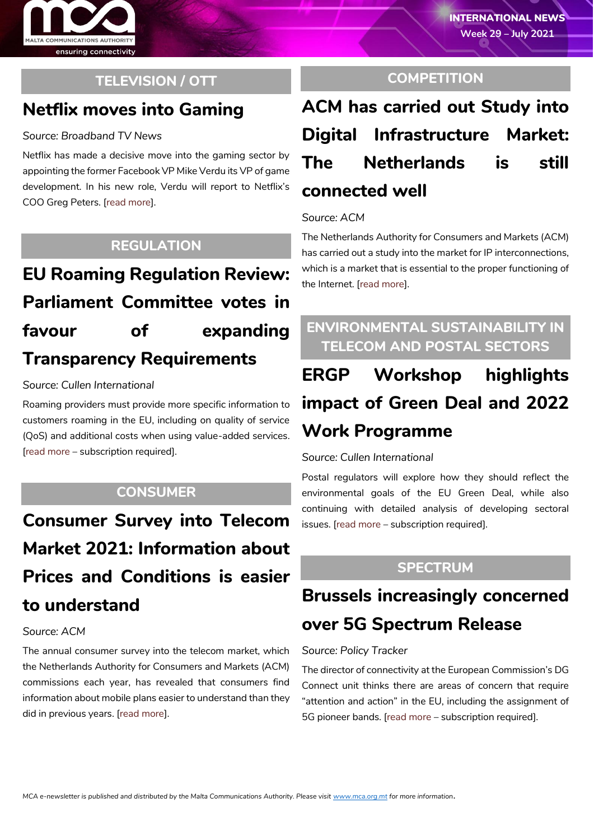

## **TELEVISION / OTT**

## **Netflix moves into Gaming**

#### *Source: Broadband TV News*

Netflix has made a decisive move into the gaming sector by appointing the former Facebook VP Mike Verdu its VP of game development. In his new role, Verdu will report to Netflix's COO Greg Peters. [\[read more\]](https://www.broadbandtvnews.com/2021/07/15/netflix-recruits-mike-verdu/).

### **REGULATION**

# **EU Roaming Regulation Review: Parliament Committee votes in favour of expanding Transparency Requirements**

#### *Source: Cullen International*

Roaming providers must provide more specific information to customers roaming in the EU, including on quality of service (QoS) and additional costs when using value-added services. [\[read more](https://www.cullen-international.com/client/site/documents/FLTEEP20210047) – subscription required].

### **CONSUMER**

**Consumer Survey into Telecom Market 2021: Information about Prices and Conditions is easier to understand**

#### *Source: ACM*

The annual consumer survey into the telecom market, which the Netherlands Authority for Consumers and Markets (ACM) commissions each year, has revealed that consumers find information about mobile plans easier to understand than they did in previous years. [\[read more\]](https://www.acm.nl/en/publications/consumer-survey-telecom-market-2021-information-about-prices-and-conditions-easier-understand).

### **COMPETITION**

# **ACM has carried out Study into Digital Infrastructure Market: The Netherlands is still connected well**

#### *Source: ACM*

The Netherlands Authority for Consumers and Markets (ACM) has carried out a study into the market for IP interconnections, which is a market that is essential to the proper functioning of the Internet. [\[read more\]](https://www.acm.nl/en/publications/acm-has-carried-out-study-digital-infrastructure-market-netherlands-still-connected-well).

## **ENVIRONMENTAL SUSTAINABILITY IN TELECOM AND POSTAL SECTORS**

# **ERGP Workshop highlights impact of Green Deal and 2022 Work Programme**

#### *Source: Cullen International*

Postal regulators will explore how they should reflect the environmental goals of the EU Green Deal, while also continuing with detailed analysis of developing sectoral issues. [\[read more](https://www.cullen-international.com/client/site/documents/FLPOEP20210010) – subscription required].

### **SPECTRUM**

# **Brussels increasingly concerned over 5G Spectrum Release**

#### *Source: Policy Tracker*

The director of connectivity at the European Commission's DG Connect unit thinks there are areas of concern that require "attention and action" in the EU, including the assignment of 5G pioneer bands. [\[read more](https://www.policytracker.com/brussels-increasingly-concerned-over-5g-spectrum-release/) – subscription required].